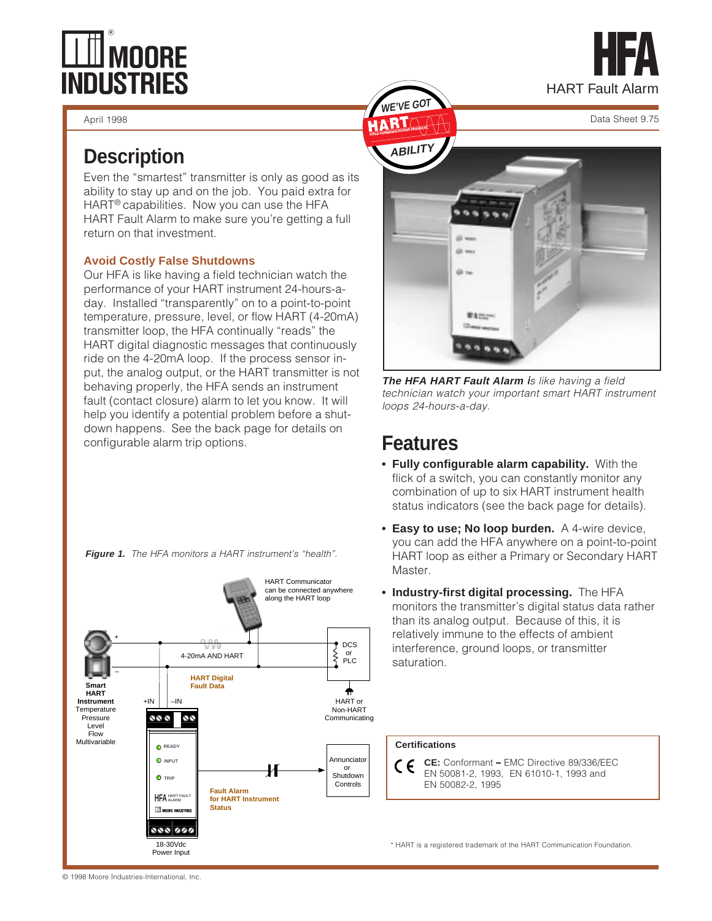# **LLUI MOORE<br>INDUSTRIES**



April 1998 Data Sheet 9.75

## **Description**

Even the "smartest" transmitter is only as good as its ability to stay up and on the job. You paid extra for HART® capabilities. Now you can use the HFA HART Fault Alarm to make sure you're getting a full return on that investment.

#### **Avoid Costly False Shutdowns**

Our HFA is like having a field technician watch the performance of your HART instrument 24-hours-aday. Installed "transparently" on to a point-to-point temperature, pressure, level, or flow HART (4-20mA) transmitter loop, the HFA continually "reads" the HART digital diagnostic messages that continuously ride on the 4-20mA loop. If the process sensor input, the analog output, or the HART transmitter is not behaving properly, the HFA sends an instrument fault (contact closure) alarm to let you know. It will help you identify a potential problem before a shutdown happens. See the back page for details on configurable alarm trip options.







**The HFA HART Fault Alarm** is like having a field i technician watch your important smart HART instrument loops 24-hours-a-day.

## **Features**

**WE GOT** 

- **Fully configurable alarm capability.** With the flick of a switch, you can constantly monitor any combination of up to six HART instrument health status indicators (see the back page for details).
- **Easy to use; No loop burden.** A 4-wire device, you can add the HFA anywhere on a point-to-point HART loop as either a Primary or Secondary HART Master.
- **Industry-first digital processing.** The HFA monitors the transmitter's digital status data rather than its analog output. Because of this, it is relatively immune to the effects of ambient interference, ground loops, or transmitter saturation.

#### **Certifications**

**CE:** Conformant – EMC Directive 89/336/EEC – CΕ EN 50081-2, 1993, EN 61010-1, 1993 and EN 50082-2, 1995

\* HART is a registered trademark of the HART Communication Foundation.

© 1998 Moore Industries-International, Inc.